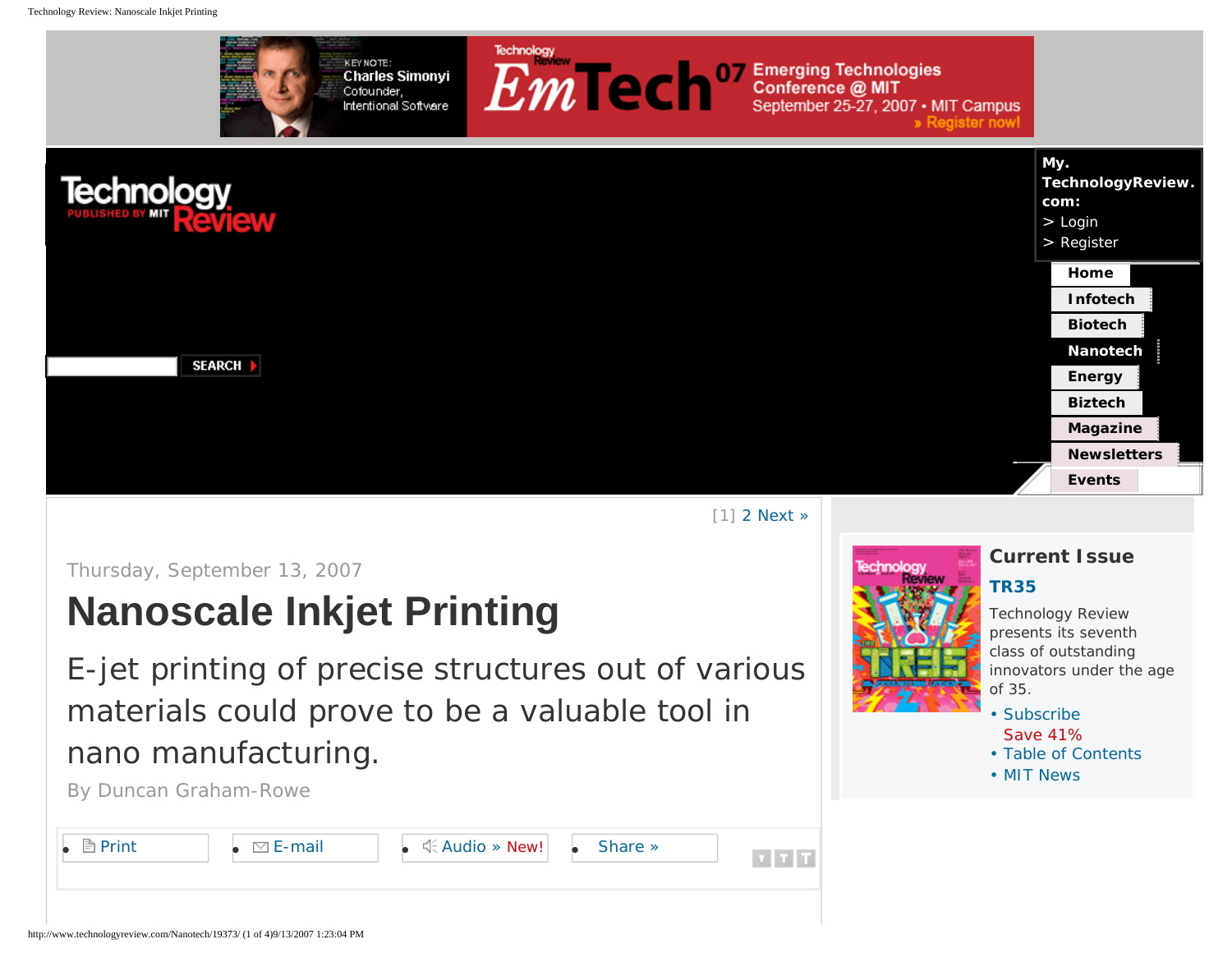<span id="page-0-0"></span>

[1] [2](#page-4-0) [Next »](#page-4-0)

Thursday, September 13, 2007

# **Nanoscale Inkjet Printing**

E-jet printing of precise structures out of various materials could prove to be a valuable tool in nano manufacturing.

By Duncan Graham-Rowe





# **Current Issue**

### **[TR35](http://www.technologyreview.com/TR35/)**

*Technology Review* presents its seventh class of outstanding innovators under the age of 35.

- • [Subscribe](https://secure.palmcoastd.com/pcd/document?ikey=060FFISB2) Save 41%
- • [Table of Contents](http://www.technologyreview.com/magazine/)
- • [MIT News](http://www.technologyreview.com/mit_news/)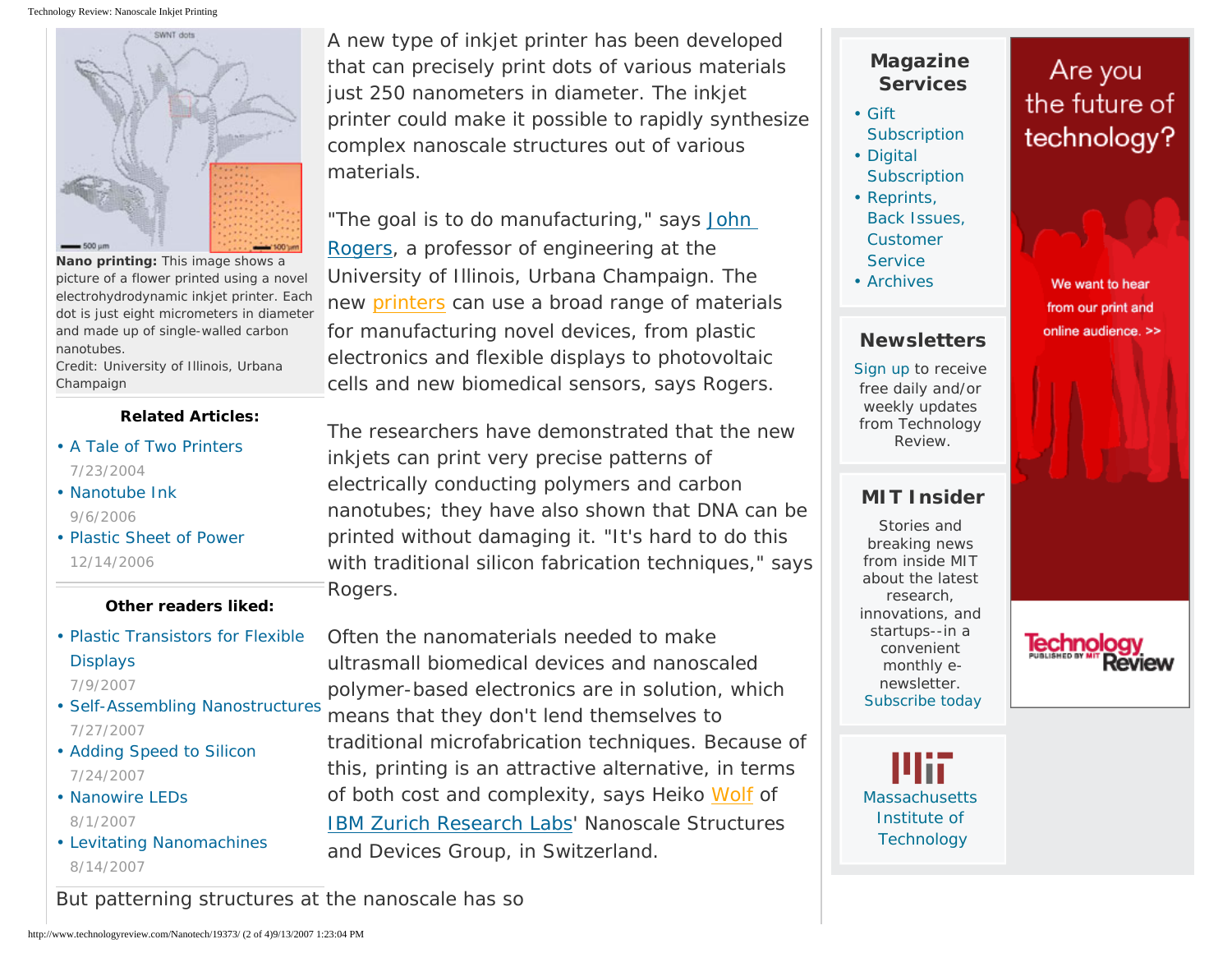Technology Review: Nanoscale Inkjet Printing



**Nano printing:** This image shows a picture of a flower printed using a novel electrohydrodynamic inkjet printer. Each dot is just eight micrometers in diameter and made up of single-walled carbon nanotubes.

Credit: University of Illinois, Urbana Champaign

### **Related Articles:**

- [A Tale of Two Printers](http://www.technologyreview.com/Infotech/13700/) 7/23/2004
- [Nanotube Ink](http://www.technologyreview.com/Nanotech/17460/)  9/6/2006
- [Plastic Sheet of Power](http://www.technologyreview.com/Biztech/17898/) 12/14/2006

### **Other readers liked:**

• [Plastic Transistors for Flexible](http://www.technologyreview.com/Nanotech/19024/)  [Displays](http://www.technologyreview.com/Nanotech/19024/) 

7/9/2007

- [Self-Assembling Nanostructures](http://www.technologyreview.com/Nanotech/19108/)  7/27/2007
- [Adding Speed to Silicon](http://www.technologyreview.com/Infotech/19086/)  7/24/2007
- Nanowire LEDs 8/1/2007
- [Levitating Nanomachines](http://www.technologyreview.com/Nanotech/19240/)  8/14/2007

A new type of inkjet printer has been developed that can precisely print dots of various materials just 250 nanometers in diameter. The inkjet printer could make it possible to rapidly synthesize complex nanoscale structures out of various materials.

"The goal is to do manufacturing," says [John](http://rogers.mse.uiuc.edu/) [Rogers](http://rogers.mse.uiuc.edu/), a professor of engineering at the University of Illinois, Urbana Champaign. The new [printers](#page-0-0) can use a broad range of materials for manufacturing novel devices, from plastic electronics and flexible displays to photovoltaic cells and new biomedical sensors, says Rogers.

The researchers have demonstrated that the new inkjets can print very precise patterns of electrically conducting polymers and carbon nanotubes; they have also shown that DNA can be printed without damaging it. "It's hard to do this with traditional silicon fabrication techniques," says Rogers.

Often the nanomaterials needed to make ultrasmall biomedical devices and nanoscaled polymer-based electronics are in solution, which means that they don't lend themselves to traditional microfabrication techniques. Because of this, printing is an attractive alternative, in terms of both cost and complexity, says Heiko [Wolf](#page-0-0) of [IBM Zurich Research Labs](http://www.zurich.ibm.com/)' Nanoscale Structures and Devices Group, in Switzerland.

# **Magazine Services**

- • [Gift](https://secure.palmcoastd.com/pcd/drenew?ikey=060FFIX06)  **[Subscription](https://secure.palmcoastd.com/pcd/drenew?ikey=060FFIX06)** • [Digital](https://secure.palmcoastd.com/pcd/drenew?ikey=060XCNDHD)
- **[Subscription](https://secure.palmcoastd.com/pcd/drenew?ikey=060XCNDHD)**
- • [Reprints,](http://www.technologyreview.com/cust/index.aspx) [Back Issues,](http://www.technologyreview.com/cust/index.aspx) [Customer](http://www.technologyreview.com/cust/index.aspx) **[Service](http://www.technologyreview.com/cust/index.aspx)**
- • [Archives](http://www.technologyreview.com/magazine/archive/)

### **Newsletters**

[Sign up](http://www.technologyreview.com/cust/newsletter.aspx) to receive free daily and/or weekly updates from Technology Review.

## **MIT Insider**

Stories and breaking news from inside MIT about the latest research, innovations, and startups--in a convenient monthly enewsletter. [Subscribe today](https://secure.palmcoastd.com/pcd/document?ikey=060XD0ENS)

**[Massachusetts](http://web.mit.edu/)** [Institute of](http://web.mit.edu/)  **[Technology](http://web.mit.edu/)** 

# Are you the future of technology?



We want to hear from our print and online audience. >>

eview

But patterning structures at the nanoscale has so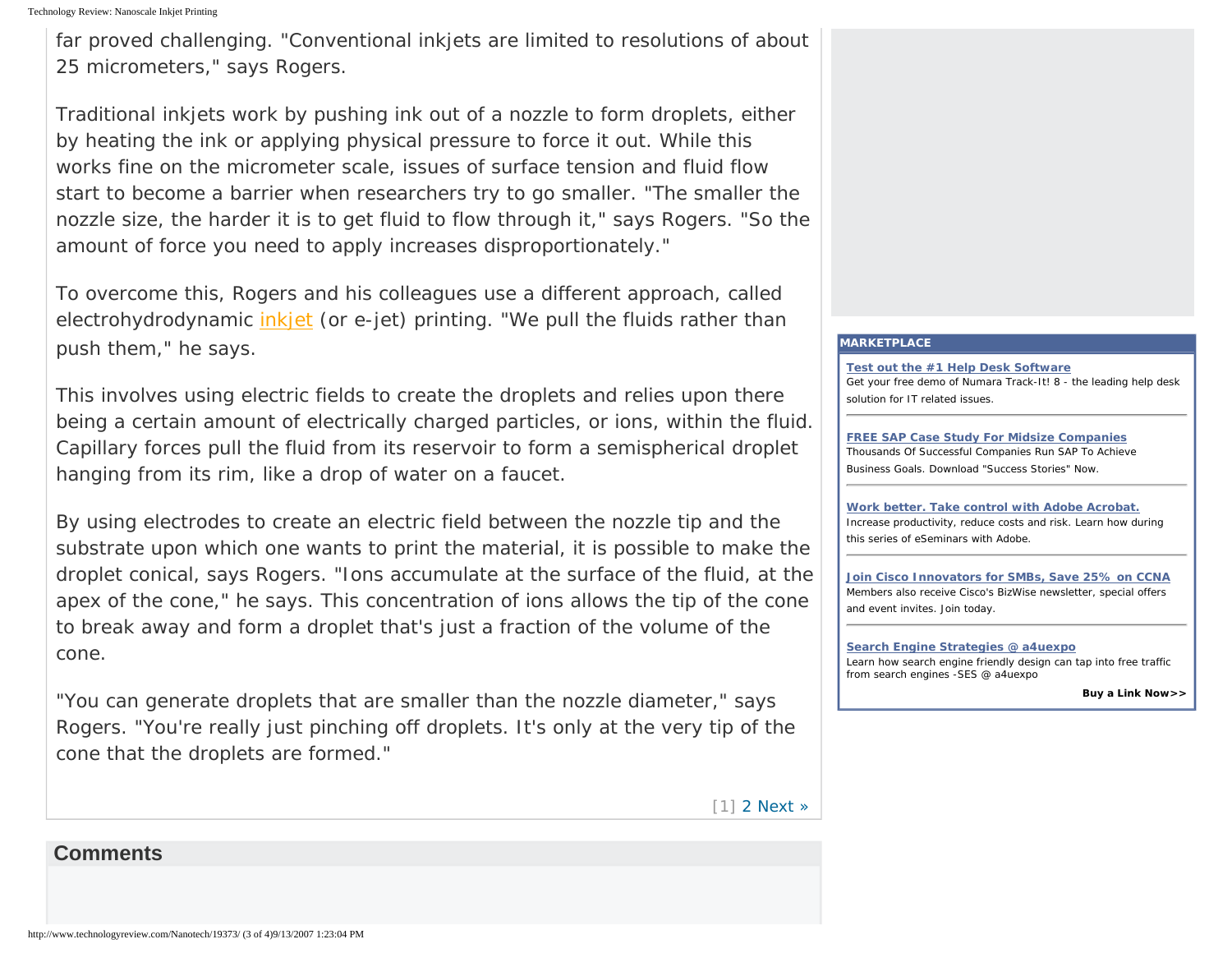far proved challenging. "Conventional inkjets are limited to resolutions of about 25 micrometers," says Rogers.

Traditional inkjets work by pushing ink out of a nozzle to form droplets, either by heating the ink or applying physical pressure to force it out. While this works fine on the micrometer scale, issues of surface tension and fluid flow start to become a barrier when researchers try to go smaller. "The smaller the nozzle size, the harder it is to get fluid to flow through it," says Rogers. "So the amount of force you need to apply increases disproportionately."

To overcome this, Rogers and his colleagues use a different approach, called electrohydrodynamic *inkjet* (or e-jet) printing. "We pull the fluids rather than push them," he says.

This involves using electric fields to create the droplets and relies upon there being a certain amount of electrically charged particles, or ions, within the fluid. Capillary forces pull the fluid from its reservoir to form a semispherical droplet hanging from its rim, like a drop of water on a faucet.

By using electrodes to create an electric field between the nozzle tip and the substrate upon which one wants to print the material, it is possible to make the droplet conical, says Rogers. "Ions accumulate at the surface of the fluid, at the apex of the cone," he says. This concentration of ions allows the tip of the cone to break away and form a droplet that's just a fraction of the volume of the cone.

"You can generate droplets that are smaller than the nozzle diameter," says Rogers. "You're really just pinching off droplets. It's only at the very tip of the cone that the droplets are formed."

[1] [2](#page-4-0) [Next »](#page-4-0)

## **Comments**

# **[MARKETPLACE](http://shlinks.industrybrains.com/sh?sid=124&a=e62ac9015d8b14729e43d6d1cfea3d8027d988511186be7708b5f44339c9e865) [Test out the #1 Help Desk Software](http://links.industrybrains.com/click?sid=124&rqctid=2907&pos=1&lid=441905&cid=104339&pr=2&tstamp=20070913142146&url=http://www.clickmanage.com/events/clickevent.aspx%3fca%3d10332%26e%3d1042%26l%3d23881089%26u%3dhttp%253A%252F%252Fwww.numarasoftware.com%252Fdemo.asp%253Fsrc%253Dindustrybrains%2526trm%253DTechnology_Review_Homepage_and_ROS)**

Get your free demo of Numara Track-It! 8 - the leading help desk solution for IT related issues.

**[FREE SAP Case Study For Midsize Companies](http://links.industrybrains.com/click?sid=124&rqctid=2907&pos=2&lid=454253&cid=107019&pr=2&tstamp=20070913142146&url=http://clickserve.dartsearch.net/link/click%3flid%3d43000000055333406)** Thousands Of Successful Companies Run SAP To Achieve Business Goals. Download "Success Stories" Now.

**[Work better. Take control with Adobe Acrobat.](http://links.industrybrains.com/click?sid=124&rqctid=2907&pos=3&lid=457154&cid=107594&pr=2&tstamp=20070913142146&url=http://info7.net/s/nhwfm/q3k/162xl)** Increase productivity, reduce costs and risk. Learn how during this series of eSeminars with Adobe.

**[Join Cisco Innovators for SMBs, Save 25% on CCNA](http://links.industrybrains.com/click?sid=124&rqctid=2907&pos=4&lid=457057&cid=107743&pr=2&tstamp=20070913142146&url=http://www.cisco.com/offer/innovators/industrybrains/152495_2)** Members also receive Cisco's BizWise newsletter, special offers and event invites. Join today.

#### **[Search Engine Strategies @ a4uexpo](http://links.industrybrains.com/click?sid=124&rqctid=2907&pos=5&lid=455852&cid=107184&pr=2&tstamp=20070913142146&url=http://www.searchenginestrategies.com/a4u/oct07/index.html%3futm_source%3dtechnologyreview%26utm_medium%3dcontent%26utm_campaign%3dseslondon)**

Learn how search engine friendly design can tap into free traffic from search engines -SES @ a4uexpo

**[Buy a Link Now>>](http://www.industrybrains.com/technologyreview)**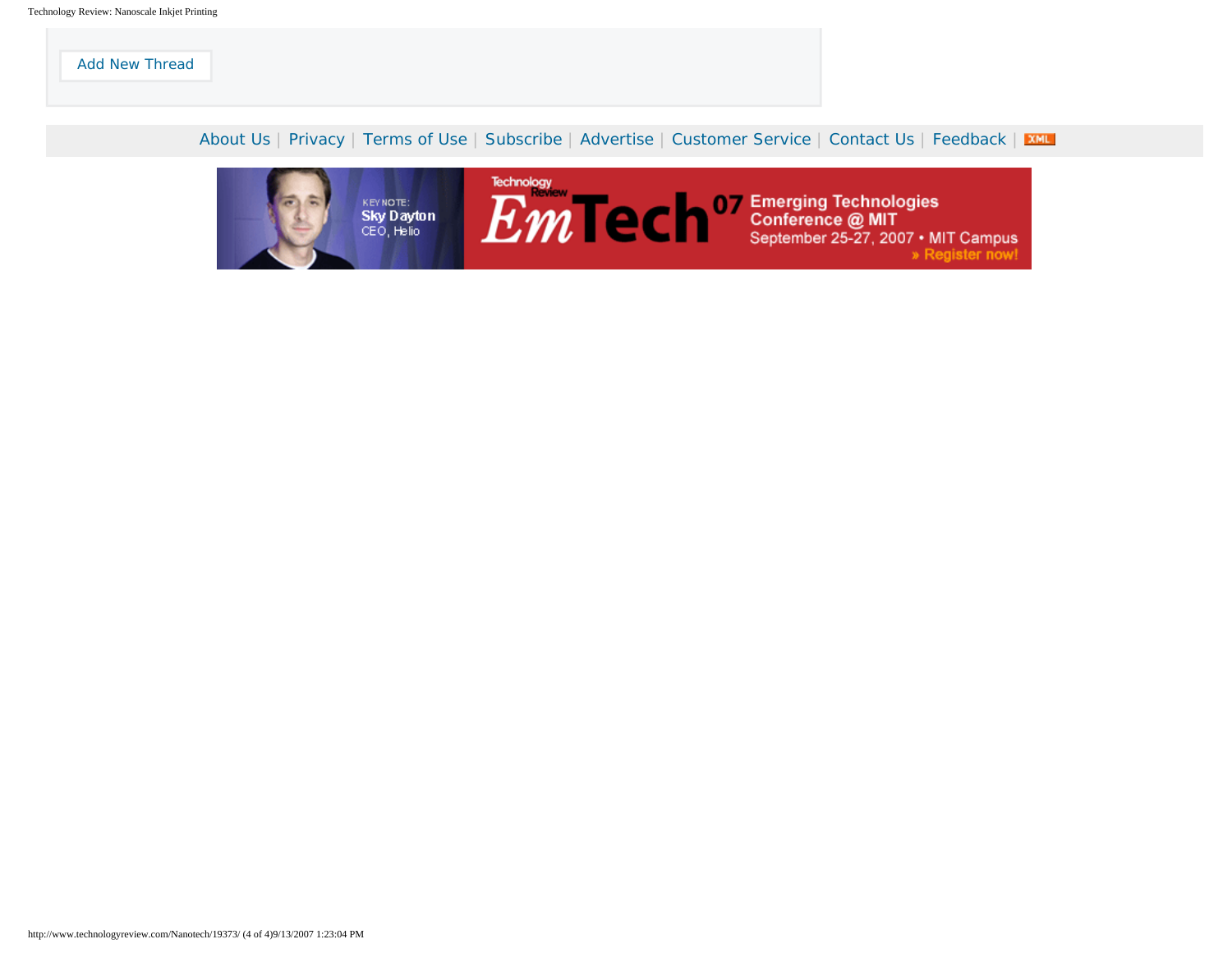[Add New Thread](https://my.technologyreview.com/mytr/login.aspx?wanttopost=true&redirect=https%3A%2F%2Fwww.technologyreview.com%2Fmytr%2Fcomment.aspx%3Faid=19373%26redirect=http%253A%252F%252Fwww.technologyreview.com%252FNanotech%252F19373%252F)

[About Us](http://www.technologyreview.com/corp/about.aspx) | [Privacy](http://www.technologyreview.com/corp/privacy.aspx) | [Terms of Use](http://www.technologyreview.com/corp/terms.aspx) | [Subscribe](https://secure.palmcoastd.com/pcd/document?ikey=060FFISB2) | [Advertise](http://www.technologyreview.com/media/index.html) | [Customer Service](http://www.technologyreview.com/cust/) | [Contact Us](http://www.technologyreview.com/corp/contact.aspx) | [Feedback](http://www.technologyreview.com/cust/feedback.aspx) | XML

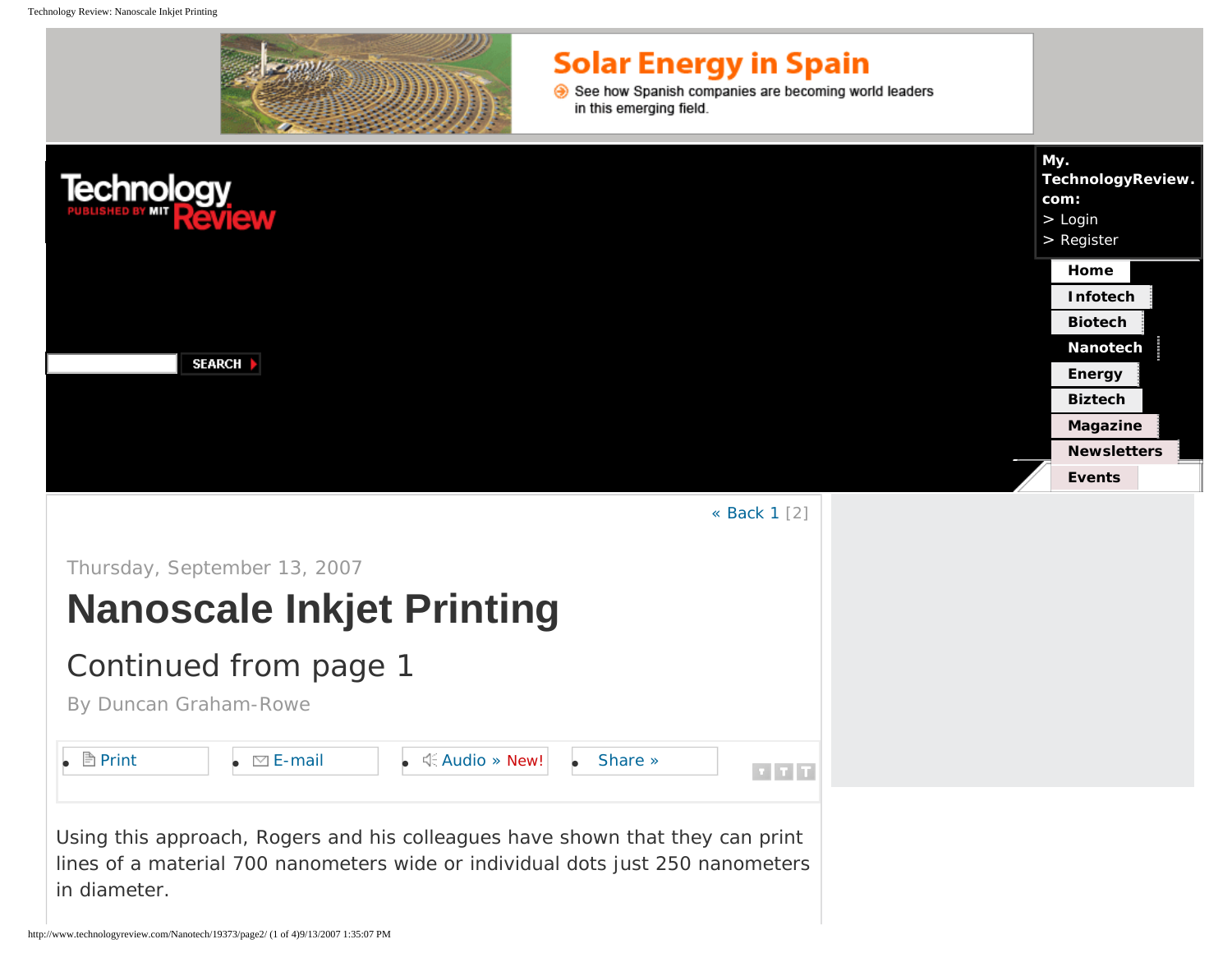<span id="page-4-0"></span>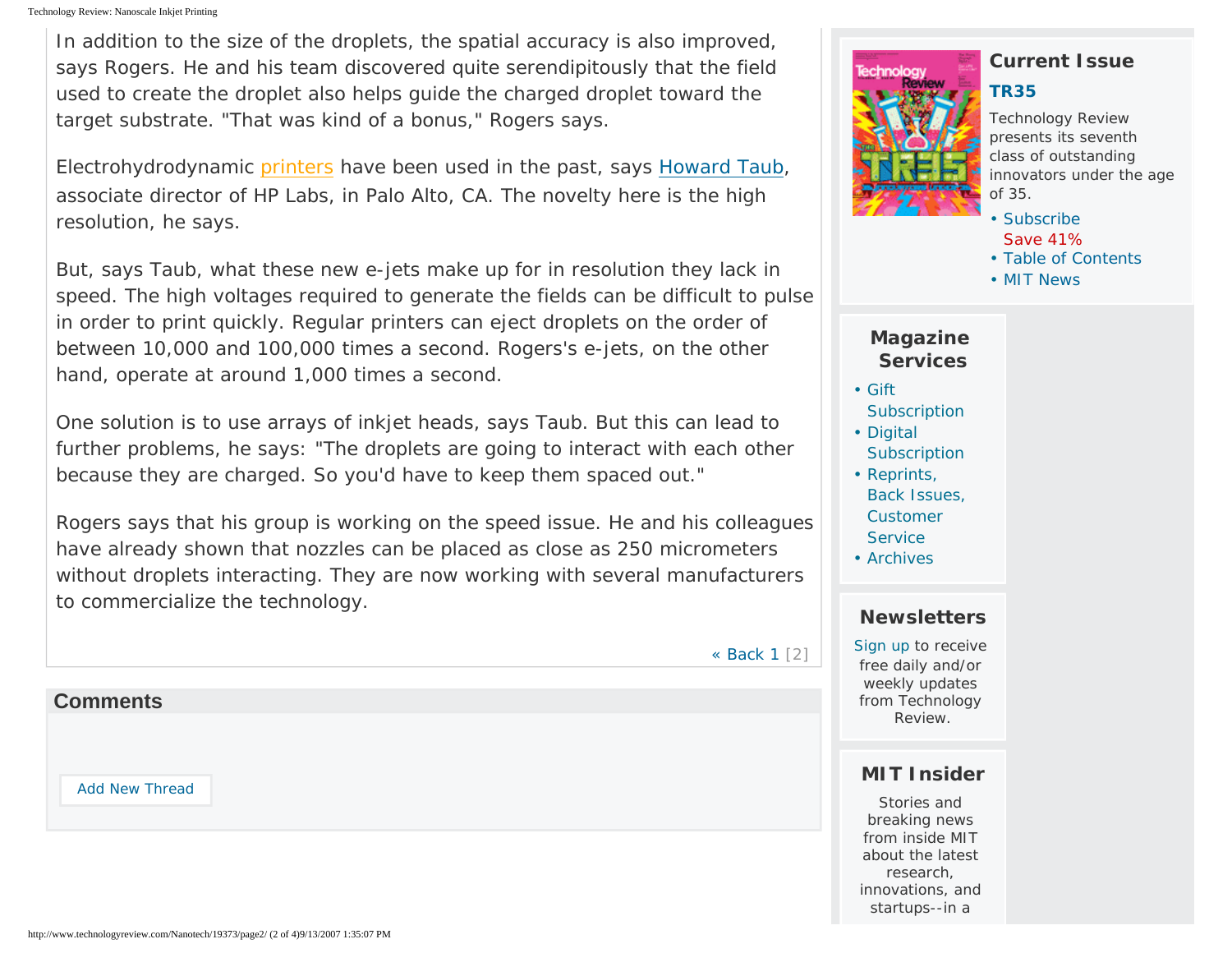In addition to the size of the droplets, the spatial accuracy is also improved, says Rogers. He and his team discovered quite serendipitously that the field used to create the droplet also helps guide the charged droplet toward the target substrate. "That was kind of a bonus," Rogers says.

Electrohydrodynamic [printers](#page-4-0) have been used in the past, says [Howard Taub,](http://www.hpl.hp.com/about/bios/howard_taub.html) associate director of HP Labs, in Palo Alto, CA. The novelty here is the high resolution, he says.

But, says Taub, what these new e-jets make up for in resolution they lack in speed. The high voltages required to generate the fields can be difficult to pulse in order to print quickly. Regular printers can eject droplets on the order of between 10,000 and 100,000 times a second. Rogers's e-jets, on the other hand, operate at around 1,000 times a second.

One solution is to use arrays of inkjet heads, says Taub. But this can lead to further problems, he says: "The droplets are going to interact with each other because they are charged. So you'd have to keep them spaced out."

Rogers says that his group is working on the speed issue. He and his colleagues have already shown that nozzles can be placed as close as 250 micrometers without droplets interacting. They are now working with several manufacturers to commercialize the technology.

[« Back](http://www.technologyreview.com/Nanotech/19373/page1/) [1](http://www.technologyreview.com/Nanotech/19373/page1/) [2]

### **Comments**

[Add New Thread](https://my.technologyreview.com/mytr/login.aspx?wanttopost=true&redirect=https%3A%2F%2Fwww.technologyreview.com%2Fmytr%2Fcomment.aspx%3Faid=19373%26redirect=http%253A%252F%252Fwww.technologyreview.com%252FNanotech%252F19373%252Fpage2%252F)

# **Current Issue**

### **[TR35](http://www.technologyreview.com/TR35/)**

*Technology Review* presents its seventh class of outstanding innovators under the age of 35.

- • [Subscribe](https://secure.palmcoastd.com/pcd/document?ikey=060FFISB2)
- Save 41%
- • [Table of Contents](http://www.technologyreview.com/magazine/)
- • [MIT News](http://www.technologyreview.com/mit_news/)

## **Magazine Services**

- • [Gift](https://secure.palmcoastd.com/pcd/drenew?ikey=060FFIX06)  **[Subscription](https://secure.palmcoastd.com/pcd/drenew?ikey=060FFIX06)**
- • [Digital](https://secure.palmcoastd.com/pcd/drenew?ikey=060XCNDHD)  **[Subscription](https://secure.palmcoastd.com/pcd/drenew?ikey=060XCNDHD)**
- • [Reprints,](http://www.technologyreview.com/cust/index.aspx) [Back Issues,](http://www.technologyreview.com/cust/index.aspx) [Customer](http://www.technologyreview.com/cust/index.aspx) **[Service](http://www.technologyreview.com/cust/index.aspx)**
- • [Archives](http://www.technologyreview.com/magazine/archive/)

## **Newsletters**

[Sign up](http://www.technologyreview.com/cust/newsletter.aspx) to receive free daily and/or weekly updates from Technology Review.

## **MIT Insider**

Stories and breaking news from inside MIT about the latest research, innovations, and startups--in a

#### http://www.technologyreview.com/Nanotech/19373/page2/ (2 of 4)9/13/2007 1:35:07 PM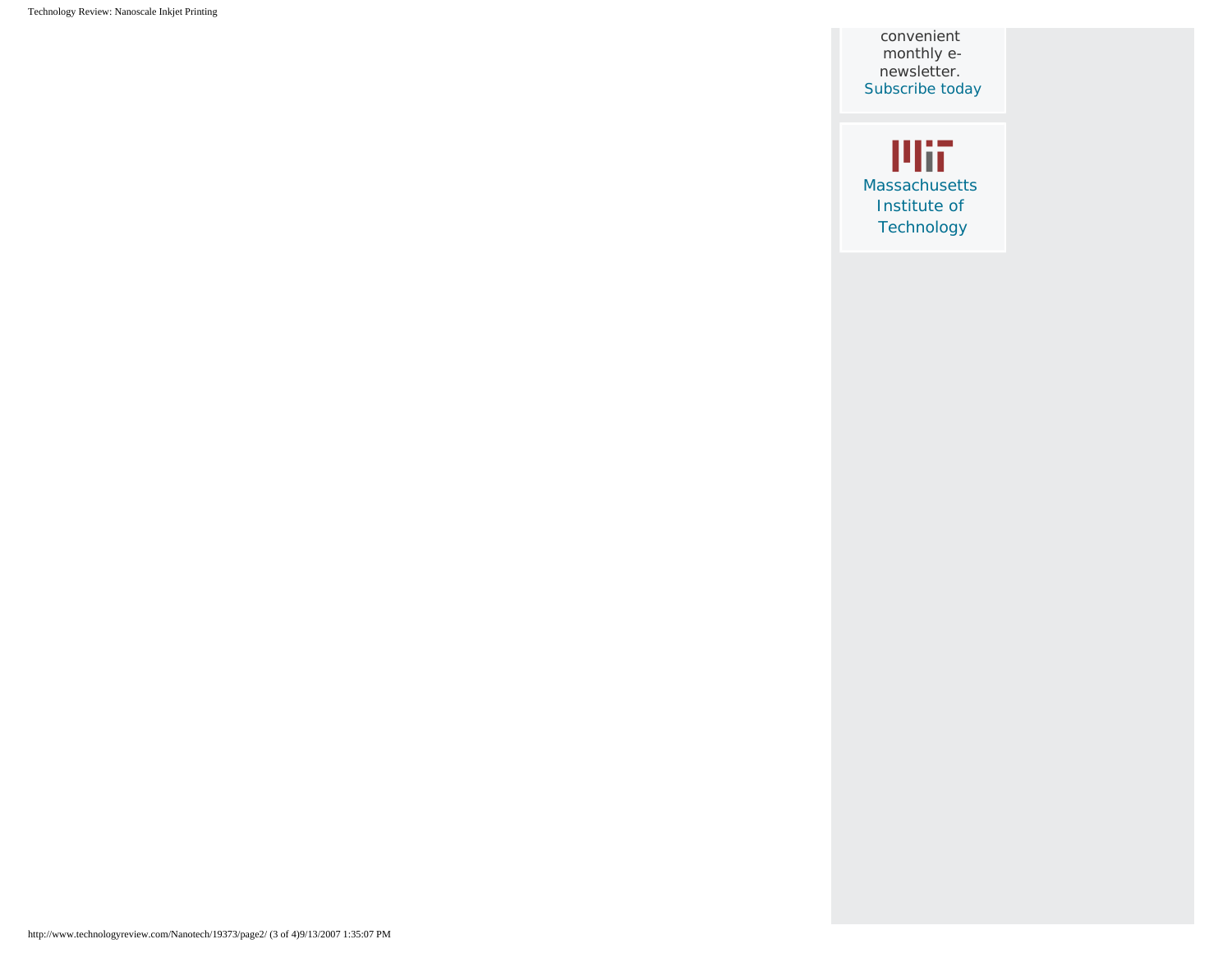Technology Review: Nanoscale Inkjet Printing

convenient monthly enewsletter. [Subscribe today](https://secure.palmcoastd.com/pcd/document?ikey=060XD0ENS)

**Plii** [Massachusetts](http://web.mit.edu/) [Institute of](http://web.mit.edu/)  [Technology](http://web.mit.edu/)